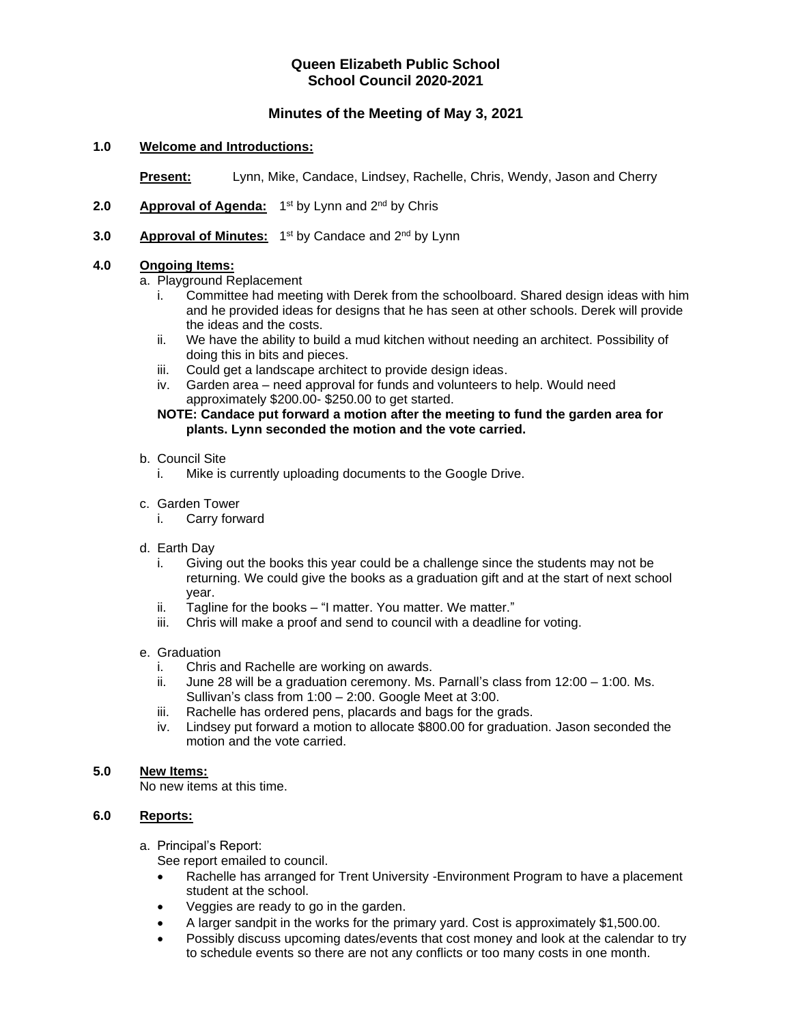# **Queen Elizabeth Public School School Council 2020-2021**

# **Minutes of the Meeting of May 3, 2021**

## **1.0 Welcome and Introductions:**

**Present:** Lynn, Mike, Candace, Lindsey, Rachelle, Chris, Wendy, Jason and Cherry

- 2.0 **Approval of Agenda:** 1<sup>st</sup> by Lynn and 2<sup>nd</sup> by Chris
- **3.0 Approval of Minutes:** 1<sup>st</sup> by Candace and 2<sup>nd</sup> by Lynn

## **4.0 Ongoing Items:**

a. Playground Replacement

- i. Committee had meeting with Derek from the schoolboard. Shared design ideas with him and he provided ideas for designs that he has seen at other schools. Derek will provide the ideas and the costs.
- ii. We have the ability to build a mud kitchen without needing an architect. Possibility of doing this in bits and pieces.
- iii. Could get a landscape architect to provide design ideas.
- iv. Garden area need approval for funds and volunteers to help. Would need approximately \$200.00- \$250.00 to get started.

## **NOTE: Candace put forward a motion after the meeting to fund the garden area for plants. Lynn seconded the motion and the vote carried.**

#### b. Council Site

i. Mike is currently uploading documents to the Google Drive.

### c. Garden Tower

i. Carry forward

### d. Earth Day

- i. Giving out the books this year could be a challenge since the students may not be returning. We could give the books as a graduation gift and at the start of next school year.
- ii. Tagline for the books "I matter. You matter. We matter."
- iii. Chris will make a proof and send to council with a deadline for voting.

### e. Graduation

- i. Chris and Rachelle are working on awards.
- ii. June 28 will be a graduation ceremony. Ms. Parnall's class from 12:00 1:00. Ms. Sullivan's class from 1:00 – 2:00. Google Meet at 3:00.
- iii. Rachelle has ordered pens, placards and bags for the grads.
- iv. Lindsey put forward a motion to allocate \$800.00 for graduation. Jason seconded the motion and the vote carried.

### **5.0 New Items:**

No new items at this time.

### **6.0 Reports:**

a. Principal's Report:

See report emailed to council.

- Rachelle has arranged for Trent University -Environment Program to have a placement student at the school.
- Veggies are ready to go in the garden.
- A larger sandpit in the works for the primary yard. Cost is approximately \$1,500.00.
- Possibly discuss upcoming dates/events that cost money and look at the calendar to try to schedule events so there are not any conflicts or too many costs in one month.